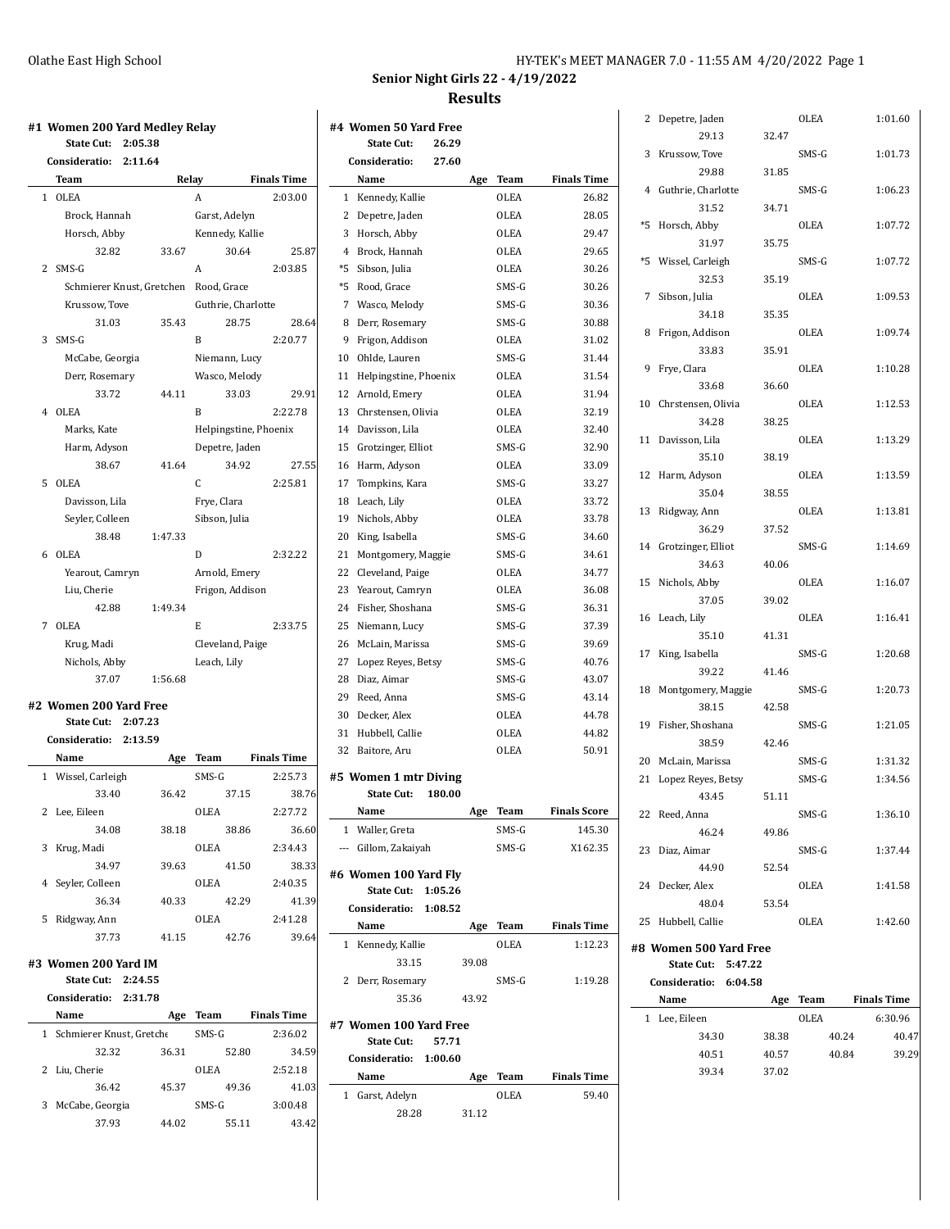| HY-TEK's MEET MANAGER 7.0 - 11:55 AM 4/20/2022 Page 1 |  |
|-------------------------------------------------------|--|
|-------------------------------------------------------|--|

**Senior Night Girls 22 - 4/19/2022 Results**

|   | #1  Women 200 Yard Medley Relay<br><b>State Cut:</b><br>2:05.38 |         |                       |                    | #4 Women 50 Yard Free<br><b>State Cut:</b><br>26.29 |                          |
|---|-----------------------------------------------------------------|---------|-----------------------|--------------------|-----------------------------------------------------|--------------------------|
|   | Consideratio:<br>2:11.64                                        |         |                       |                    | Consideratio:<br>27.60                              |                          |
|   | Team                                                            | Relay   |                       | <b>Finals Time</b> | Name                                                |                          |
|   | 1 OLEA                                                          |         | A                     | 2:03.00            | 1 Kennedy, Kallie                                   |                          |
|   | Brock. Hannah                                                   |         | Garst, Adelyn         |                    | 2 Depetre, Jaden                                    |                          |
|   | Horsch, Abby                                                    |         | Kennedy, Kallie       |                    | 3 Horsch, Abby                                      |                          |
|   | 32.82                                                           | 33.67   | 30.64                 | 25.87              | 4 Brock, Hannah                                     |                          |
|   | 2 SMS-G                                                         |         | A                     | 2:03.85            | *5 Sibson, Julia                                    |                          |
|   | Schmierer Knust, Gretchen                                       |         | Rood, Grace           |                    | *5 Rood, Grace                                      |                          |
|   | Krussow, Tove                                                   |         | Guthrie, Charlotte    |                    | 7 Wasco, Melody                                     |                          |
|   | 31.03                                                           | 35.43   | 28.75                 | 28.64              | Derr, Rosemary<br>8                                 |                          |
| 3 | SMS-G                                                           |         | B                     | 2:20.77            | 9 Frigon, Addison                                   |                          |
|   | McCabe, Georgia                                                 |         | Niemann, Lucy         |                    | Ohlde, Lauren<br>10                                 |                          |
|   | Derr, Rosemary                                                  |         | Wasco, Melody         |                    | Helpingstine, Phoenix<br>11                         |                          |
|   | 33.72                                                           | 44.11   | 33.03                 | 29.91              | Arnold, Emery<br>12                                 |                          |
|   | 4 OLEA                                                          |         | B                     | 2:22.78            | 13 Chrstensen, Olivia                               |                          |
|   | Marks, Kate                                                     |         | Helpingstine, Phoenix |                    | 14 Davisson, Lila                                   |                          |
|   | Harm, Adyson                                                    |         | Depetre, Jaden        |                    | Grotzinger, Elliot<br>15                            |                          |
|   | 38.67                                                           | 41.64   | 34.92                 | 27.55              | 16 Harm, Adyson                                     |                          |
| 5 | OLEA                                                            |         | C                     | 2:25.81            | Tompkins, Kara<br>17                                |                          |
|   | Davisson, Lila                                                  |         | Frye, Clara           |                    | 18 Leach, Lily                                      |                          |
|   | Seyler, Colleen                                                 |         | Sibson, Julia         |                    | 19 Nichols, Abby                                    |                          |
|   | 38.48                                                           | 1:47.33 |                       |                    | 20 King, Isabella                                   |                          |
|   | 6 OLEA                                                          |         | D                     | 2:32.22            | 21<br>Montgomery, Maggie                            |                          |
|   | Yearout, Camryn                                                 |         | Arnold, Emery         |                    | 22 Cleveland, Paige                                 |                          |
|   | Liu, Cherie                                                     |         | Frigon, Addison       |                    | 23 Yearout, Camryn                                  |                          |
|   | 42.88                                                           | 1:49.34 |                       |                    | 24 Fisher, Shoshana                                 |                          |
|   | 7 OLEA                                                          |         | E                     | 2:33.75            | 25 Niemann, Lucy                                    |                          |
|   | Krug, Madi                                                      |         | Cleveland, Paige      |                    | 26 McLain, Marissa                                  |                          |
|   | Nichols, Abby                                                   |         | Leach, Lily           |                    | Lopez Reyes, Betsy<br>27                            |                          |
|   | 37.07                                                           | 1:56.68 |                       |                    | 28 Diaz, Aimar                                      |                          |
|   | #2 Women 200 Yard Free                                          |         |                       |                    | 29 Reed, Anna                                       |                          |
|   | <b>State Cut:</b><br>2:07.23                                    |         |                       |                    | Decker, Alex<br>30                                  |                          |
|   | Consideratio:<br>2:13.59                                        |         |                       |                    | 31<br>Hubbell, Callie                               |                          |
|   | Name                                                            | Age     | Team                  | <b>Finals Time</b> | 32 Baitore, Aru                                     |                          |
|   | 1 Wissel, Carleigh                                              |         | SMS-G                 | 2:25.73            | #5 Women 1 mtr Diving                               |                          |
|   | 33.40                                                           | 36.42   | 37.15                 | 38.76              | <b>State Cut:</b><br>180.00                         |                          |
|   | 2 Lee, Eileen                                                   |         | OLEA                  | 2:27.72            | Name                                                |                          |
|   | 34.08                                                           | 38.18   | 38.86                 | 36.60              | 1 Waller, Greta                                     |                          |
|   | 3 Krug, Madi                                                    |         | OLEA                  | 2:34.43            | --- Gillom, Zakaiyah                                |                          |
|   | 34.97                                                           | 39.63   | 41.50                 | 38.33              | #6 Women 100 Yard Fly                               |                          |
|   | 4 Seyler, Colleen                                               |         | OLEA                  | 2:40.35            | <b>State Cut:</b><br>1:05.26                        |                          |
|   | 36.34                                                           | 40.33   | 42.29                 | 41.39              | Consideratio: 1:08.52                               |                          |
|   | 5 Ridgway, Ann                                                  |         | OLEA                  | 2:41.28            | Name                                                |                          |
|   | 37.73                                                           | 41.15   | 42.76                 | 39.64              | 1 Kennedy, Kallie                                   |                          |
|   | #3 Women 200 Yard IM                                            |         |                       |                    | 33.15                                               |                          |
|   | State Cut: 2:24.55                                              |         |                       |                    | 2 Derr, Rosemary                                    |                          |
|   | Consideratio: 2:31.78                                           |         |                       |                    | 35.36                                               | $\overline{\phantom{a}}$ |
|   | Name                                                            |         | Age Team              | <b>Finals Time</b> | #7 Women 100 Yard Fre                               |                          |
|   | 1 Schmierer Knust, Gretche                                      |         | SMS-G                 | 2:36.02            | <b>State Cut:</b><br>57.71                          |                          |
|   | 32.32                                                           | 36.31   | 52.80                 | 34.59              | Consideratio: 1:00.60                               |                          |
|   | 2 Liu, Cherie                                                   |         | OLEA                  | 2:52.18            | Name                                                |                          |
|   | 36.42                                                           | 45.37   | 49.36                 | 41.03              | 1 Garst, Adelyn                                     |                          |
|   | 3 McCabe, Georgia                                               |         | SMS-G                 | 3:00.48            | 28.28                                               |                          |
|   | 37.93                                                           | 44.02   | 55.11                 | 43.42              |                                                     |                          |

|                | <b>State Cut:</b>      | 26.29   |       |             |                     |
|----------------|------------------------|---------|-------|-------------|---------------------|
|                | Consideratio:          | 27.60   |       |             |                     |
|                | Name                   |         | Age   | <b>Team</b> | <b>Finals Time</b>  |
| 1              | Kennedy, Kallie        |         |       | <b>OLEA</b> | 26.82               |
| 2              | Depetre, Jaden         |         |       | OLEA        | 28.05               |
| 3              | Horsch, Abby           |         |       | OLEA        | 29.47               |
| $\overline{4}$ | Brock, Hannah          |         |       | <b>OLEA</b> | 29.65               |
| *5             | Sibson, Julia          |         |       | <b>OLEA</b> | 30.26               |
| *5             | Rood, Grace            |         |       | SMS-G       | 30.26               |
| 7              | Wasco, Melody          |         |       | SMS-G       | 30.36               |
| 8              | Derr, Rosemary         |         |       | SMS-G       | 30.88               |
| 9              | Frigon, Addison        |         |       | OLEA        | 31.02               |
| 10             | Ohlde, Lauren          |         |       | SMS-G       | 31.44               |
| 11             | Helpingstine, Phoenix  |         |       | OLEA        | 31.54               |
| 12             | Arnold, Emery          |         |       | OLEA        | 31.94               |
| 13             | Chrstensen, Olivia     |         |       | OLEA        | 32.19               |
| 14             | Davisson, Lila         |         |       | OLEA        | 32.40               |
| 15             | Grotzinger, Elliot     |         |       | SMS-G       | 32.90               |
| 16             | Harm, Adyson           |         |       | <b>OLEA</b> | 33.09               |
| 17             | Tompkins, Kara         |         |       | SMS-G       | 33.27               |
| 18             | Leach, Lily            |         |       | <b>OLEA</b> | 33.72               |
| 19             | Nichols, Abby          |         |       | <b>OLEA</b> | 33.78               |
| 20             | King, Isabella         |         |       | SMS-G       | 34.60               |
| 21             | Montgomery, Maggie     |         |       | SMS-G       | 34.61               |
| 22             | Cleveland, Paige       |         |       | <b>OLEA</b> | 34.77               |
| 23             | Yearout, Camryn        |         |       | OLEA        | 36.08               |
| 24             | Fisher, Shoshana       |         |       | SMS-G       | 36.31               |
| 25             | Niemann, Lucy          |         |       | SMS-G       | 37.39               |
| 26             | McLain, Marissa        |         |       | SMS-G       | 39.69               |
| 27             | Lopez Reyes, Betsy     |         |       | SMS-G       | 40.76               |
| 28             | Diaz, Aimar            |         |       | SMS-G       | 43.07               |
| 29             | Reed, Anna             |         |       | SMS-G       | 43.14               |
| 30             | Decker, Alex           |         |       | <b>OLEA</b> | 44.78               |
| 31             | Hubbell, Callie        |         |       | OLEA        | 44.82               |
| 32             | Baitore, Aru           |         |       | OLEA        | 50.91               |
|                | #5 Women 1 mtr Diving  |         |       |             |                     |
|                | <b>State Cut:</b>      | 180.00  |       |             |                     |
|                | Name                   |         | Age   | Team        | <b>Finals Score</b> |
| 1              | Waller, Greta          |         |       | SMS-G       | 145.30              |
|                | --- Gillom, Zakaiyah   |         |       | SMS-G       | X162.35             |
|                |                        |         |       |             |                     |
|                | #6 Women 100 Yard Fly  |         |       |             |                     |
|                | State Cut: 1:05.26     |         |       |             |                     |
|                | Consideratio:          | 1:08.52 |       |             |                     |
|                | Name                   |         | Age   | Team        | <b>Finals Time</b>  |
| 1              | Kennedy, Kallie        |         |       | <b>OLEA</b> | 1:12.23             |
|                | 33.15                  |         | 39.08 |             |                     |
| 2              | Derr, Rosemary         |         |       | SMS-G       | 1:19.28             |
|                | 35.36                  |         | 43.92 |             |                     |
|                | #7 Women 100 Yard Free |         |       |             |                     |
|                | <b>State Cut:</b>      | 57.71   |       |             |                     |
|                | Consideratio: 1:00.60  |         |       |             |                     |
|                | Name                   |         | Age   | Team        | <b>Finals Time</b>  |
|                | 1 Garst, Adelyn        |         |       | <b>OLEA</b> | 59.40               |
|                | 28.28                  |         | 31.12 |             |                     |
|                |                        |         |       |             |                     |

| 2  | Depetre, Jaden         |       | OLEA        | 1:01.60          |
|----|------------------------|-------|-------------|------------------|
|    | 29.13                  | 32.47 |             |                  |
| 3  | Krussow, Tove          |       | SMS-G       | 1:01.73          |
|    | 29.88                  | 31.85 |             |                  |
| 4  | Guthrie, Charlotte     |       | SMS-G       | 1:06.23          |
|    | 31.52                  | 34.71 |             |                  |
| *5 | Horsch, Abby           |       | <b>OLEA</b> | 1:07.72          |
|    |                        |       |             |                  |
|    | 31.97                  | 35.75 |             |                  |
| *5 | Wissel, Carleigh       |       | SMS-G       | 1:07.72          |
|    | 32.53                  | 35.19 |             |                  |
| 7  | Sibson, Julia          |       | OLEA        | 1:09.53          |
|    | 34.18                  | 35.35 |             |                  |
| 8  | Frigon, Addison        |       | OLEA        | 1:09.74          |
|    | 33.83                  | 35.91 |             |                  |
| 9  | Frye, Clara            |       | OLEA        | 1:10.28          |
|    | 33.68                  | 36.60 |             |                  |
| 10 | Chrstensen, Olivia     |       | OLEA        | 1:12.53          |
|    | 34.28                  | 38.25 |             |                  |
| 11 | Davisson, Lila         |       | <b>OLEA</b> | 1:13.29          |
|    | 35.10                  | 38.19 |             |                  |
| 12 | Harm, Adyson           |       | <b>OLEA</b> | 1:13.59          |
|    | 35.04                  | 38.55 |             |                  |
| 13 | Ridgway, Ann           |       | <b>OLEA</b> | 1:13.81          |
|    | 36.29                  | 37.52 |             |                  |
| 14 | Grotzinger, Elliot     |       | SMS-G       | 1:14.69          |
|    | 34.63                  | 40.06 |             |                  |
|    |                        |       |             |                  |
| 15 | Nichols, Abby          |       | <b>OLEA</b> | 1:16.07          |
|    | 37.05                  | 39.02 |             |                  |
| 16 | Leach, Lily            |       | OLEA        | 1:16.41          |
|    | 35.10                  | 41.31 |             |                  |
| 17 | King, Isabella         |       | SMS-G       | 1:20.68          |
|    | 39.22                  | 41.46 |             |                  |
| 18 | Montgomery, Maggie     |       | SMS-G       | 1:20.73          |
|    | 38.15                  | 42.58 |             |                  |
| 19 | Fisher, Shoshana       |       | SMS-G       | 1:21.05          |
|    | 38.59                  | 42.46 |             |                  |
| 20 | McLain, Marissa        |       | SMS-G       | 1:31.32          |
| 21 | Lopez Reyes, Betsy     |       | SMS-G       | 1:34.56          |
|    | 43.45                  | 51.11 |             |                  |
|    | 22 Reed, Anna          |       | SMS-G       | 1:36.10          |
|    | 46.24                  | 49.86 |             |                  |
|    | 23 Diaz, Aimar         |       | SMS-G       | 1:37.44          |
|    | 44.90                  | 52.54 |             |                  |
|    | 24 Decker, Alex        |       | <b>OLEA</b> | 1:41.58          |
|    | 48.04                  | 53.54 |             |                  |
| 25 | Hubbell, Callie        |       | OLEA        | 1:42.60          |
|    |                        |       |             |                  |
|    | #8 Women 500 Yard Free |       |             |                  |
|    | State Cut: 5:47.22     |       |             |                  |
|    | Consideratio: 6:04.58  |       |             |                  |
|    | Name $\qquad \qquad$   | Age   |             | Team Finals Time |
|    | 1 Lee, Eileen          |       | OLEA        | 6:30.96          |
|    | 34.30                  | 38.38 | 40.24       | 40.47            |
|    | 40.51                  | 40.57 |             | 39.29<br>40.84   |
|    | 39.34                  | 37.02 |             |                  |
|    |                        |       |             |                  |
|    |                        |       |             |                  |